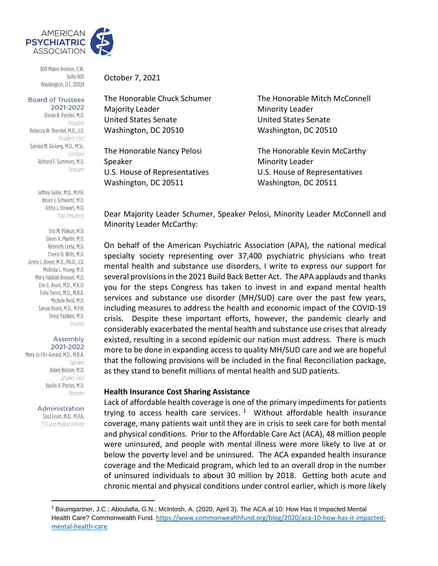

800 Maine Avenue, S.W. Suite 900 Washington, D.C. 20024

#### **Board of Trustees** 2021-2022

Vivian B. Pender, M.D. President Rebecca W. Brendel, M.D., J.D. President-Elect Sandra M. DeJong, M.D., M.Sc. Secretary Richard F. Summers, M.D. Treasurer

> Jeffrey Geller, M.D., M.P.H. Bruce J. Schwartz, M.D. Altha J. Stewart, M.D. Past Presidents

Eric M. Plakun, M.D. Glenn A. Martin, M.D. Kenneth Certa, M.D. Cheryl D. Wills, M.D. Jenny L. Boyer, M.D., Ph.D., J.D. Melinda L. Young, M.D. Mary Hasbah Roessel, M.D. Elie G. Aoun. M.D., M.R.O. Felix Torres, M.D., M.B.A. Michele Reid, M.D. Sanya Virani, M.D., M.P.H. Urooj Yazdani, M.D. Trustees

#### Assembly 2021-2022

Mary Jo Fitz-Gerald, M.D., M.B.A. Speaker Adam Nelson, M.D. Speaker-Elect Vasilis K. Pozios, M.D. Recorder

#### Administration

Saul Levin, M.D., M.P.A. CEO and Medical Director

October 7, 2021

Majority Leader Minority Leader United States Senate United States Senate Washington, DC 20510 Washington, DC 20510

Speaker Minority Leader Washington, DC 20511 Washington, DC 20511

The Honorable Chuck Schumer The Honorable Mitch McConnell

The Honorable Nancy Pelosi The Honorable Kevin McCarthy U.S. House of Representatives U.S. House of Representatives

Dear Majority Leader Schumer, Speaker Pelosi, Minority Leader McConnell and Minority Leader McCarthy:

On behalf of the American Psychiatric Association (APA), the national medical specialty society representing over 37,400 psychiatric physicians who treat mental health and substance use disorders, I write to express our support for several provisions in the 2021 Build Back Better Act. The APA applauds and thanks you for the steps Congress has taken to invest in and expand mental health services and substance use disorder (MH/SUD) care over the past few years, including measures to address the health and economic impact of the COVID-19 crisis. Despite these important efforts, however, the pandemic clearly and considerably exacerbated the mental health and substance use crises that already existed, resulting in a second epidemic our nation must address. There is much more to be done in expanding access to quality MH/SUD care and we are hopeful that the following provisions will be included in the final Reconciliation package, as they stand to benefit millions of mental health and SUD patients.

## **Health Insurance Cost Sharing Assistance**

Lack of affordable health coverage is one of the primary impediments for patients trying to access health care services.  $1$  Without affordable health insurance coverage, many patients wait until they are in crisis to seek care for both mental and physical conditions. Prior to the Affordable Care Act (ACA), 48 million people were uninsured, and people with mental illness were more likely to live at or below the poverty level and be uninsured. The ACA expanded health insurance coverage and the Medicaid program, which led to an overall drop in the number of uninsured individuals to about 30 million by 2018. Getting both acute and chronic mental and physical conditions under control earlier, which is more likely

<sup>1</sup> Baumgartner, J.C.; Aboulafia, G.N.; McIntosh, A. (2020, April 3). The ACA at 10: How Has It Impacted Mental Health Care? Commonwealth Fund. [https://www.commonwealthfund.org/blog/2020/aca-10-how-has-it-impacted](https://www.commonwealthfund.org/blog/2020/aca-10-how-has-it-impacted-mental-health-care)[mental-health-care](https://www.commonwealthfund.org/blog/2020/aca-10-how-has-it-impacted-mental-health-care)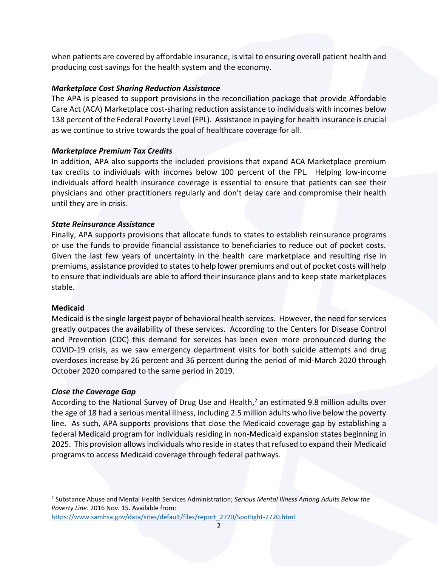when patients are covered by affordable insurance, is vital to ensuring overall patient health and producing cost savings for the health system and the economy.

# *Marketplace Cost Sharing Reduction Assistance*

The APA is pleased to support provisions in the reconciliation package that provide Affordable Care Act (ACA) Marketplace cost-sharing reduction assistance to individuals with incomes below 138 percent of the Federal Poverty Level (FPL). Assistance in paying for health insurance is crucial as we continue to strive towards the goal of healthcare coverage for all.

# *Marketplace Premium Tax Credits*

In addition, APA also supports the included provisions that expand ACA Marketplace premium tax credits to individuals with incomes below 100 percent of the FPL. Helping low-income individuals afford health insurance coverage is essential to ensure that patients can see their physicians and other practitioners regularly and don't delay care and compromise their health until they are in crisis.

# *State Reinsurance Assistance*

Finally, APA supports provisions that allocate funds to states to establish reinsurance programs or use the funds to provide financial assistance to beneficiaries to reduce out of pocket costs. Given the last few years of uncertainty in the health care marketplace and resulting rise in premiums, assistance provided to states to help lower premiums and out of pocket costs will help to ensure that individuals are able to afford their insurance plans and to keep state marketplaces stable.

# **Medicaid**

Medicaid is the single largest payor of behavioral health services. However, the need for services greatly outpaces the availability of these services. According to the Centers for Disease Control and Prevention (CDC) this demand for services has been even more pronounced during the COVID-19 crisis, as we saw emergency department visits for both suicide attempts and drug overdoses increase by 26 percent and 36 percent during the period of mid-March 2020 through October 2020 compared to the same period in 2019.

# *Close the Coverage Gap*

According to the National Survey of Drug Use and Health,<sup>2</sup> an estimated 9.8 million adults over the age of 18 had a serious mental illness, including 2.5 million adults who live below the poverty line. As such, APA supports provisions that close the Medicaid coverage gap by establishing a federal Medicaid program for individuals residing in non-Medicaid expansion states beginning in 2025. This provision allows individuals who reside in states that refused to expand their Medicaid programs to access Medicaid coverage through federal pathways.

<sup>2</sup> Substance Abuse and Mental Health Services Administration; *Serious Mental Illness Among Adults Below the Poverty Line*. 2016 Nov. 15. Available from:

[https://www.samhsa.gov/data/sites/default/files/report\\_2720/Spotlight-2720.html](https://www.samhsa.gov/data/sites/default/files/report_2720/Spotlight-2720.html)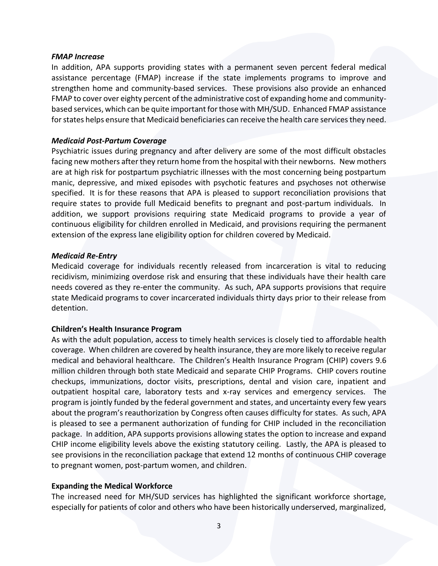## *FMAP Increase*

In addition, APA supports providing states with a permanent seven percent federal medical assistance percentage (FMAP) increase if the state implements programs to improve and strengthen home and community-based services. These provisions also provide an enhanced FMAP to cover over eighty percent of the administrative cost of expanding home and communitybased services, which can be quite important for those with MH/SUD. Enhanced FMAP assistance for states helps ensure that Medicaid beneficiaries can receive the health care services they need.

## *Medicaid Post-Partum Coverage*

Psychiatric issues during pregnancy and after delivery are some of the most difficult obstacles facing new mothers after they return home from the hospital with their newborns. New mothers are at high risk for postpartum psychiatric illnesses with the most concerning being postpartum manic, depressive, and mixed episodes with psychotic features and psychoses not otherwise specified. It is for these reasons that APA is pleased to support reconciliation provisions that require states to provide full Medicaid benefits to pregnant and post-partum individuals. In addition, we support provisions requiring state Medicaid programs to provide a year of continuous eligibility for children enrolled in Medicaid, and provisions requiring the permanent extension of the express lane eligibility option for children covered by Medicaid.

## *Medicaid Re-Entry*

Medicaid coverage for individuals recently released from incarceration is vital to reducing recidivism, minimizing overdose risk and ensuring that these individuals have their health care needs covered as they re-enter the community. As such, APA supports provisions that require state Medicaid programs to cover incarcerated individuals thirty days prior to their release from detention.

## **Children's Health Insurance Program**

As with the adult population, access to timely health services is closely tied to affordable health coverage. When children are covered by health insurance, they are more likely to receive regular medical and behavioral healthcare. The Children's Health Insurance Program (CHIP) covers 9.6 million children through both state Medicaid and separate CHIP Programs. CHIP covers routine checkups, immunizations, doctor visits, prescriptions, dental and vision care, inpatient and outpatient hospital care, laboratory tests and x-ray services and emergency services. The program is jointly funded by the federal government and states, and uncertainty every few years about the program's reauthorization by Congress often causes difficulty for states. As such, APA is pleased to see a permanent authorization of funding for CHIP included in the reconciliation package. In addition, APA supports provisions allowing states the option to increase and expand CHIP income eligibility levels above the existing statutory ceiling. Lastly, the APA is pleased to see provisions in the reconciliation package that extend 12 months of continuous CHIP coverage to pregnant women, post-partum women, and children.

## **Expanding the Medical Workforce**

The increased need for MH/SUD services has highlighted the significant workforce shortage, especially for patients of color and others who have been historically underserved, marginalized,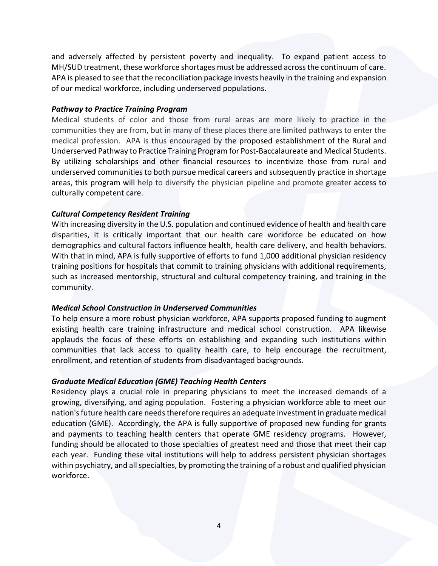and adversely affected by persistent poverty and inequality. To expand patient access to MH/SUD treatment, these workforce shortages must be addressed across the continuum of care. APA is pleased to see that the reconciliation package invests heavily in the training and expansion of our medical workforce, including underserved populations.

## *Pathway to Practice Training Program*

Medical students of color and those from rural areas are more likely to practice in the communities they are from, but in many of these places there are limited pathways to enter the medical profession. APA is thus encouraged by the proposed establishment of the Rural and Underserved Pathway to Practice Training Program for Post-Baccalaureate and Medical Students. By utilizing scholarships and other financial resources to incentivize those from rural and underserved communities to both pursue medical careers and subsequently practice in shortage areas, this program will help to diversify the physician pipeline and promote greater access to culturally competent care.

# *Cultural Competency Resident Training*

With increasing diversity in the U.S. population and continued evidence of health and health care disparities, it is critically important that our health care workforce be educated on how demographics and cultural factors influence health, health care delivery, and health behaviors. With that in mind, APA is fully supportive of efforts to fund 1,000 additional physician residency training positions for hospitals that commit to training physicians with additional requirements, such as increased mentorship, structural and cultural competency training, and training in the community.

# *Medical School Construction in Underserved Communities*

To help ensure a more robust physician workforce, APA supports proposed funding to augment existing health care training infrastructure and medical school construction. APA likewise applauds the focus of these efforts on establishing and expanding such institutions within communities that lack access to quality health care, to help encourage the recruitment, enrollment, and retention of students from disadvantaged backgrounds.

# *Graduate Medical Education (GME) Teaching Health Centers*

Residency plays a crucial role in preparing physicians to meet the increased demands of a growing, diversifying, and aging population. Fostering a physician workforce able to meet our nation's future health care needs therefore requires an adequate investment in graduate medical education (GME). Accordingly, the APA is fully supportive of proposed new funding for grants and payments to teaching health centers that operate GME residency programs. However, funding should be allocated to those specialties of greatest need and those that meet their cap each year. Funding these vital institutions will help to address persistent physician shortages within psychiatry, and all specialties, by promoting the training of a robust and qualified physician workforce.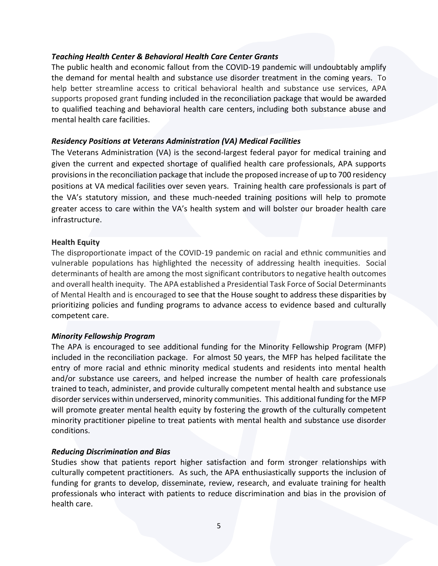## *Teaching Health Center & Behavioral Health Care Center Grants*

The public health and economic fallout from the COVID-19 pandemic will undoubtably amplify the demand for mental health and substance use disorder treatment in the coming years. To help better streamline access to critical behavioral health and substance use services, APA supports proposed grant funding included in the reconciliation package that would be awarded to qualified teaching and behavioral health care centers, including both substance abuse and mental health care facilities.

## *Residency Positions at Veterans Administration (VA) Medical Facilities*

The Veterans Administration (VA) is the second-largest federal payor for medical training and given the current and expected shortage of qualified health care professionals, APA supports provisions in the reconciliation package that include the proposed increase of up to 700 residency positions at VA medical facilities over seven years. Training health care professionals is part of the VA's statutory mission, and these much-needed training positions will help to promote greater access to care within the VA's health system and will bolster our broader health care infrastructure.

## **Health Equity**

The disproportionate impact of the COVID-19 pandemic on racial and ethnic communities and vulnerable populations has highlighted the necessity of addressing health inequities. Social determinants of health are among the most significant contributors to negative health outcomes and overall health inequity. The APA established a Presidential Task Force of Social Determinants of Mental Health and is encouraged to see that the House sought to address these disparities by prioritizing policies and funding programs to advance access to evidence based and culturally competent care.

# *Minority Fellowship Program*

The APA is encouraged to see additional funding for the Minority Fellowship Program (MFP) included in the reconciliation package. For almost 50 years, the MFP has helped facilitate the entry of more racial and ethnic minority medical students and residents into mental health and/or substance use careers, and helped increase the number of health care professionals trained to teach, administer, and provide culturally competent mental health and substance use disorder services within underserved, minority communities. This additional funding for the MFP will promote greater mental health equity by fostering the growth of the culturally competent minority practitioner pipeline to treat patients with mental health and substance use disorder conditions.

# *Reducing Discrimination and Bias*

Studies show that patients report higher satisfaction and form stronger relationships with culturally competent practitioners. As such, the APA enthusiastically supports the inclusion of funding for grants to develop, disseminate, review, research, and evaluate training for health professionals who interact with patients to reduce discrimination and bias in the provision of health care.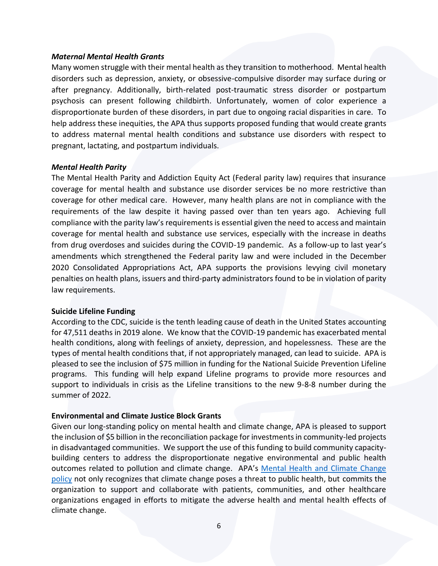#### *Maternal Mental Health Grants*

Many women struggle with their mental health as they transition to motherhood. Mental health disorders such as depression, anxiety, or obsessive-compulsive disorder may surface during or after pregnancy. Additionally, birth-related post-traumatic stress disorder or postpartum psychosis can present following childbirth. Unfortunately, women of color experience a disproportionate burden of these disorders, in part due to ongoing racial disparities in care. To help address these inequities, the APA thus supports proposed funding that would create grants to address maternal mental health conditions and substance use disorders with respect to pregnant, lactating, and postpartum individuals.

#### *Mental Health Parity*

The Mental Health Parity and Addiction Equity Act (Federal parity law) requires that insurance coverage for mental health and substance use disorder services be no more restrictive than coverage for other medical care. However, many health plans are not in compliance with the requirements of the law despite it having passed over than ten years ago. Achieving full compliance with the parity law's requirements is essential given the need to access and maintain coverage for mental health and substance use services, especially with the increase in deaths from drug overdoses and suicides during the COVID-19 pandemic. As a follow-up to last year's amendments which strengthened the Federal parity law and were included in the December 2020 Consolidated Appropriations Act, APA supports the provisions levying civil monetary penalties on health plans, issuers and third-party administrators found to be in violation of parity law requirements.

#### **Suicide Lifeline Funding**

According to the CDC, suicide is the tenth leading cause of death in the United States accounting for 47,511 deaths in 2019 alone. We know that the COVID-19 pandemic has exacerbated mental health conditions, along with feelings of anxiety, depression, and hopelessness. These are the types of mental health conditions that, if not appropriately managed, can lead to suicide. APA is pleased to see the inclusion of \$75 million in funding for the National Suicide Prevention Lifeline programs. This funding will help expand Lifeline programs to provide more resources and support to individuals in crisis as the Lifeline transitions to the new 9-8-8 number during the summer of 2022.

## **Environmental and Climate Justice Block Grants**

Given our long-standing policy on mental health and climate change, APA is pleased to support the inclusion of \$5 billion in the reconciliation package for investments in community-led projects in disadvantaged communities. We support the use of this funding to build community capacitybuilding centers to address the disproportionate negative environmental and public health outcomes related to pollution and climate change. APA's Mental Health and Climate Change [policy](https://www.psychiatry.org/File%20Library/About-APA/Organization-Documents-Policies/Policies/Position-2017-Mental-Health-Climate-Change.pdf) not only recognizes that climate change poses a threat to public health, but commits the organization to support and collaborate with patients, communities, and other healthcare organizations engaged in efforts to mitigate the adverse health and mental health effects of climate change.